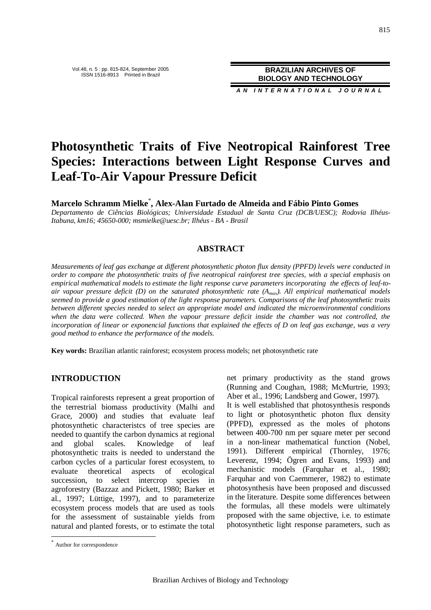**A N I N T E R N A T I O N A L J O U R N A L**

# **Photosynthetic Traits of Five Neotropical Rainforest Tree Species: Interactions between Light Response Curves and Leaf-To-Air Vapour Pressure Deficit**

**Marcelo Schramm Mielke** \* **, Alex-Alan Furtado de Almeida and Fábio Pinto Gomes**

*Departamento de Ciências Biológicas; Universidade Estadual de Santa Cruz (DCB/UESC); Rodovia Ilhéus-Itabuna, km16; 45650-000; msmielke@uesc.br; Ilhéus - BA - Brasil*

## **ABSTRACT**

*Measurements of leaf gas exchange at different photosynthetic photon flux density (PPFD) levels were conducted in order to compare the photosynthetic traits of five neotropical rainforest tree species, with a special emphasis on empirical mathematical models to estimate the light response curve parameters incorporating the effects of leaf-toair vapour pressure deficit (D) on the saturated photosynthetic rate (Amax). All empirical mathematical models seemed to provide a good estimation of the light response parameters. Comparisons of the leaf photosynthetic traits between different species needed to select an appropriate model and indicated the microenvironmental conditions when the data were collected. When the vapour pressure deficit inside the chamber was not controlled, the incorporation of linear or exponencial functions that explained the effects of D on leaf gas exchange, was a very good method to enhance the performance of the models.*

**Key words:** Brazilian atlantic rainforest; ecosystem process models; net photosynthetic rate

### **INTRODUCTION**

Tropical rainforests represent a great proportion of the terrestrial biomass productivity (Malhi and Grace, 2000) and studies that evaluate leaf photosynthetic characteristcs of tree species are needed to quantify the carbon dynamics at regional and global scales. Knowledge of leaf photosynthetic traits is needed to understand the carbon cycles of a particular forest ecosystem, to evaluate theoretical aspects of ecological succession, to select intercrop species in agroforestry (Bazzaz and Pickett, 1980; Barker et al., 1997; Lüttige, 1997), and to parameterize ecosystem process models that are used as tools for the assessment of sustainable yields from natural and planted forests, or to estimate the total

It is well established that photosynthesis responds to light or photosynthetic photon flux density (PPFD), expressed as the moles of photons between 400-700 nm per square meter per second in a non-linear mathematical function (Nobel, 1991). Different empirical (Thornley, 1976; Leverenz, 1994; Ögren and Evans, 1993) and mechanistic models (Farquhar et al., 1980; Farquhar and von Caemmerer, 1982) to estimate photosynthesis have been proposed and discussed in the literature. Despite some differences between the formulas, all these models were ultimately proposed with the same objective, i.e. to estimate photosynthetic light response parameters, such as

l

net primary productivity as the stand grows (Running and Coughan, 1988; McMurtrie, 1993; Aber et al., 1996; Landsberg and Gower, 1997).

<sup>\*</sup> Author for correspondence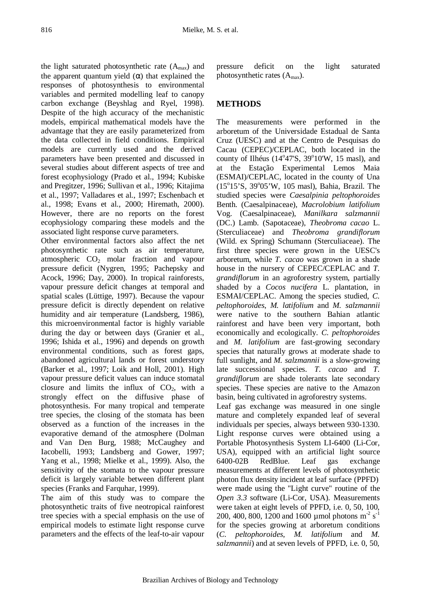the light saturated photosynthetic rate  $(A<sub>max</sub>)$  and the apparent quantum yield  $(\alpha)$  that explained the responses of photosynthesis to environmental variables and permited modelling leaf to canopy carbon exchange (Beyshlag and Ryel, 1998). Despite of the high accuracy of the mechanistic models, empirical mathematical models have the advantage that they are easily parameterized from the data collected in field conditions. Empirical models are currently used and the derived parameters have been presented and discussed in several studies about different aspects of tree and forest ecophysiology (Prado et al., 1994; Kubiske and Pregitzer, 1996; Sullivan et al., 1996; Kitajima et al., 1997; Valladares et al., 1997; Eschenbach et al., 1998; Evans et al., 2000; Hiremath, 2000). However, there are no reports on the forest ecophysiology comparing these models and the associated light response curve parameters.

Other environmental factors also affect the net photosynthetic rate such as air temperature, atmospheric  $CO<sub>2</sub>$  molar fraction and vapour pressure deficit (Nygren, 1995; Pachepsky and Acock, 1996; Day, 2000). In tropical rainforests, vapour pressure deficit changes at temporal and spatial scales (Lüttige, 1997). Because the vapour pressure deficit is directly dependent on relative humidity and air temperature (Landsberg, 1986), this microenvironmental factor is highly variable during the day or between days (Granier et al., 1996; Ishida et al., 1996) and depends on growth environmental conditions, such as forest gaps, abandoned agricultural lands or forest understory (Barker et al., 1997; Loik and Holl, 2001). High vapour pressure deficit values can induce stomatal closure and limits the influx of  $CO<sub>2</sub>$ , with a strongly effect on the diffusive phase of photosynthesis. For many tropical and temperate tree species, the closing of the stomata has been observed as a function of the increases in the evaporative demand of the atmosphere (Dolman and Van Den Burg, 1988; McCaughey and Iacobelli, 1993; Landsberg and Gower, 1997; Yang et al., 1998; Mielke et al., 1999). Also, the sensitivity of the stomata to the vapour pressure deficit is largely variable between different plant species (Franks and Farquhar, 1999).

The aim of this study was to compare the photosynthetic traits of five neotropical rainforest tree species with a special emphasis on the use of empirical models to estimate light response curve parameters and the effects of the leaf-to-air vapour

pressure deficit on the light saturated photosynthetic rates  $(A<sub>max</sub>)$ .

## **METHODS**

The measurements were performed in the arboretum of the Universidade Estadual de Santa Cruz (UESC) and at the Centro de Pesquisas do Cacau (CEPEC)/CEPLAC, both located in the county of Ilhéus (14°47'S, 39°10'W, 15 masl), and at the Estação Experimental Lemos Maia (ESMAI)/CEPLAC, located in the county of Una (15°15'S, 39°05'W, 105 masl), Bahia, Brazil. The studied species were *Caesalpinia peltophoroides* Benth. (Caesalpinaceae), *Macrolobium latifolium* Vog. (Caesalpinaceae), *Manilkara salzmannii* (DC.) Lamb. (Sapotaceae), *Theobroma cacao* L. (Sterculiaceae) and *Theobroma grandiflorum* (Wild. ex Spring) Schumann (Sterculiaceae). The first three species were grown in the UESC's arboretum, while *T. cacao* was grown in a shade house in the nursery of CEPEC/CEPLAC and *T. grandiflorum* in an agroforestry system, partially shaded by a *Cocos nucifera* L. plantation, in ESMAI/CEPLAC. Among the species studied, *C. peltophoroides*, *M. latifolium* and *M. salzmannii* were native to the southern Bahian atlantic rainforest and have been very important, both economically and ecologically. *C. peltophoroides* and *M. latifolium* are fast-growing secondary species that naturally grows at moderate shade to full sunlight, and *M. salzmannii* is a slow-growing late successional species. *T. cacao* and *T. grandiflorum* are shade tolerants late secondary species. These species are native to the Amazon basin, being cultivated in agroforestry systems.

Leaf gas exchange was measured in one single mature and completely expanded leaf of several individuals per species, always between 930-1330. Light response curves were obtained using a Portable Photosynthesis System LI-6400 (Li-Cor, USA), equipped with an artificial light source 6400-02B RedBlue. Leaf gas exchange measurements at different levels of photosynthetic photon flux density incident at leaf surface (PPFD) were made using the "Light curve" routine of the *Open 3.3* software (Li-Cor, USA). Measurements were taken at eight levels of PPFD, i.e. 0, 50, 100, 200, 400, 800, 1200 and 1600 µmol photons  $m^2 s^{-1}$ for the species growing at arboretum conditions (*C. peltophoroides*, *M. latifolium* and *M. salzmannii*) and at seven levels of PPFD, i.e. 0, 50,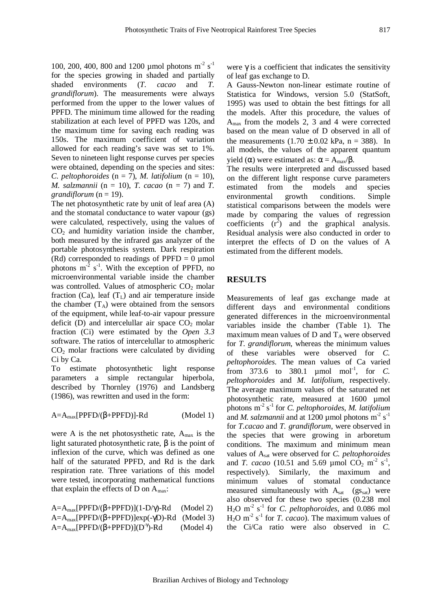100, 200, 400, 800 and 1200 µmol photons  $m^2 s^{-1}$ for the species growing in shaded and partially shaded environments (*T. cacao* and *T. grandiflorum*). The measurements were always performed from the upper to the lower values of PPFD. The minimum time allowed for the reading stabilization at each level of PPFD was 120s, and the maximum time for saving each reading was 150s. The maximum coefficient of variation allowed for each reading's save was set to 1%. Seven to nineteen light response curves per species were obtained, depending on the species and sites: *C. peltophoroides* ( $n = 7$ ), *M. latifolium* ( $n = 10$ ), *M. salzmannii* (n = 10), *T. cacao* (n = 7) and *T. grandiflorum*  $(n = 19)$ .

The net photosynthetic rate by unit of leaf area (A) and the stomatal conductance to water vapour (gs) were calculated, respectively, using the values of  $CO<sub>2</sub>$  and humidity variation inside the chamber, both measured by the infrared gas analyzer of the portable photosynthesis system. Dark respiration (Rd) corresponded to readings of PPFD =  $0 \mu$ mol photons  $m^{-2}$  s<sup>-1</sup>. With the exception of PPFD, no microenvironmental variable inside the chamber was controlled. Values of atmospheric  $CO<sub>2</sub>$  molar fraction (Ca), leaf  $(T_L)$  and air temperature inside the chamber  $(T_A)$  were obtained from the sensors of the equipment, while leaf-to-air vapour pressure deficit (D) and intercelullar air space  $CO<sub>2</sub>$  molar fraction (Ci) were estimated by the *Open 3.3* software. The ratios of intercelullar to atmospheric  $CO<sub>2</sub>$  molar fractions were calculated by dividing Ci by Ca.

To estimate photosynthetic light response parameters a simple rectangular hiperbola, described by Thornley (1976) and Landsberg (1986), was rewritten and used in the form:

$$
A = A_{max}[PPFD/(\beta + PPFD)]-Rd \qquad (Model 1)
$$

were A is the net photosysthetic rate,  $A_{\text{max}}$  is the light saturated photosynthetic rate, β is the point of inflexion of the curve, which was defined as one half of the saturated PPFD, and Rd is the dark respiration rate. Three variations of this model were tested, incorporating mathematical functions that explain the effects of D on  $A_{\text{max}}$ :

 $A=A_{max}[PPFD/(\beta+PPFD)](1-D/\gamma)$ -Rd (Model 2)  $A=A_{max}[PPFD/(\beta+PPFD)]exp(-\gamma D)$ -Rd (Model 3)  $A = A_{max}[PPFD/(\beta+PPFD)](D^{\gamma})$  $(Model 4)$ 

were  $\gamma$  is a coefficient that indicates the sensitivity of leaf gas exchange to D.

A Gauss-Newton non-linear estimate routine of Statistica for Windows, version 5.0 (StatSoft, 1995) was used to obtain the best fittings for all the models. After this procedure, the values of Amax from the models 2, 3 and 4 were corrected based on the mean value of D observed in all of the measurements  $(1.70 \pm 0.02 \text{ kPa}, \text{ n} = 388)$ . In all models, the values of the apparent quantum yield (α) were estimated as:  $\alpha = A_{\text{max}}/\beta$ .

The results were interpreted and discussed based on the different light response curve parameters estimated from the models and species environmental growth conditions. Simple statistical comparisons between the models were made by comparing the values of regression coefficients  $(r^2)$  and the graphical analysis. Residual analysis were also conducted in order to interpret the effects of D on the values of A estimated from the different models.

## **RESULTS**

Measurements of leaf gas exchange made at different days and environmental conditions generated differences in the microenvironmental variables inside the chamber (Table 1). The maximum mean values of  $D$  and  $T_A$  were observed for *T. grandiflorum*, whereas the minimum values of these variables were observed for *C. peltophoroides*. The mean values of Ca varied from 373.6 to 380.1  $\mu$ mol mol<sup>-1</sup>, for *C*. *peltophoroides* and *M. latifolium*, respectively. The average maximum values of the saturated net photosynthetic rate, measured at 1600 µmol photons m -2 s -1 for *C. peltophoroides*, *M. latifolium* and *M. salzmannii* and at 1200 µmol photons  $m^2 s^{-1}$ for *T.cacao* and *T. grandiflorum*, were observed in the species that were growing in arboretum conditions. The maximum and minimum mean values of Asat were observed for *C. peltophoroides* and *T. cacao* (10.51 and 5.69 µmol  $CO_2$  m<sup>-2</sup> s<sup>-1</sup>, respectively). Similarly, the maximum and minimum values of stomatal conductance measured simultaneously with  $A<sub>sat</sub>$  (gs<sub>sat</sub>) were also observed for these two species (0.238 mol H2O m -2 s -1 for *C. peltophoroides*, and 0.086 mol  $H_2O$  m<sup>-2</sup> s<sup>-1</sup> for *T. cacao*). The maximum values of the Ci/Ca ratio were also observed in *C.*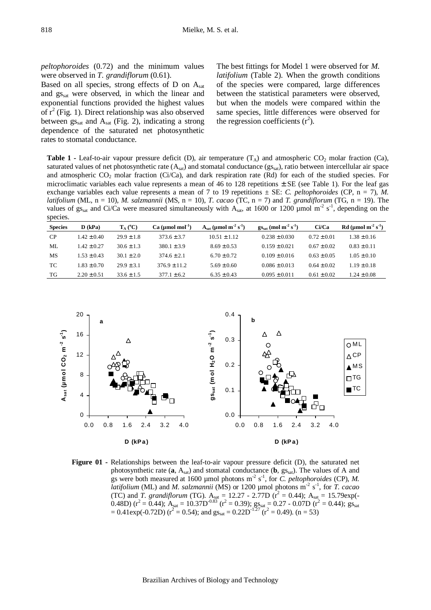*peltophoroides* (0.72) and the minimum values were observed in *T. grandiflorum* (0.61).

Based on all species, strong effects of D on Asat and gssat were observed, in which the linear and exponential functions provided the highest values of  $r^2$  (Fig. 1). Direct relationship was also observed between  $gs_{sat}$  and  $A_{sat}$  (Fig. 2), indicating a strong dependence of the saturated net photosynthetic rates to stomatal conductance.

The best fittings for Model 1 were observed for *M. latifolium* (Table 2). When the growth conditions of the species were compared, large differences between the statistical parameters were observed, but when the models were compared within the same species, little differences were observed for the regression coefficients  $(r^2)$ .

**Table 1 -** Leaf-to-air vapour pressure deficit (D), air temperature  $(T_A)$  and atmospheric CO<sub>2</sub> molar fraction (Ca), saturated values of net photosynthetic rate  $(A_{sat})$  and stomatal conductance  $(gs_{sat})$ , ratio between intercellular air space and atmospheric  $CO_2$  molar fraction (Ci/Ca), and dark respiration rate (Rd) for each of the studied species. For microclimatic variables each value represents a mean of 46 to 128 repetitions  $\pm$  SE (see Table 1). For the leaf gas exchange variables each value represents a mean of 7 to 19 repetitions  $\pm$  SE: *C. peltophoroides* (CP, n = 7), *M. latifolium* (ML, n = 10), *M. salzmannii* (MS, n = 10), *T. cacao* (TC, n = 7) and *T. grandiflorum* (TG, n = 19). The values of  $gs_{sat}$  and Ci/Ca were measured simultaneously with  $A_{sat}$ , at 1600 or 1200 µmol m<sup>-2</sup> s<sup>-1</sup>, depending on the species.

| . . <b>.</b>   |                 |                   |                   |                                                          |                                                   |                 |                                              |
|----------------|-----------------|-------------------|-------------------|----------------------------------------------------------|---------------------------------------------------|-----------------|----------------------------------------------|
| <b>Species</b> | $D$ (kPa)       | $T_A (^{\circ}C)$ | $Ca (µmol mol-1)$ | $A_{\text{sat}}$ (µmol m <sup>-2</sup> s <sup>-1</sup> ) | $gs_{sat}$ (mol m <sup>-2</sup> s <sup>-1</sup> ) | Ci/Ca           | $Rd$ (µmol m <sup>-2</sup> s <sup>-1</sup> ) |
| <b>CP</b>      | $1.42 \pm 0.40$ | $29.9 \pm 1.8$    | $373.6 \pm 3.7$   | $10.51 \pm 1.12$                                         | $0.238 \pm 0.030$                                 | $0.72 \pm 0.01$ | $1.38 \pm 0.16$                              |
| ML             | $1.42 \pm 0.27$ | $30.6 \pm 1.3$    | $380.1 \pm 3.9$   | $8.69 \pm 0.53$                                          | $0.159 \pm 0.021$                                 | $0.67 \pm 0.02$ | $0.83 \pm 0.11$                              |
| МS             | $1.53 \pm 0.43$ | $30.1 \pm 2.0$    | $374.6 \pm 2.1$   | $6.70 \pm 0.72$                                          | $0.109 \pm 0.016$                                 | $0.63 \pm 0.05$ | $1.05 \pm 0.10$                              |
| TC             | $1.83 \pm 0.70$ | $29.9 \pm 3.1$    | $376.9 \pm 11.2$  | $5.69 \pm 0.60$                                          | $0.086 \pm 0.013$                                 | $0.64 \pm 0.02$ | $1.19 \pm 0.18$                              |
| TG             | $2.20 \pm 0.51$ | $33.6 \pm 1.5$    | $377.1 \pm 6.2$   | $6.35 \pm 0.43$                                          | $0.095 \pm 0.011$                                 | $0.61 \pm 0.02$ | $1.24 \pm 0.08$                              |



**Figure 01 -** Relationships between the leaf-to-air vapour pressure deficit (D), the saturated net photosynthetic rate  $(a, A_{sat})$  and stomatal conductance  $(b, gs_{sat})$ . The values of A and gs were both measured at 1600 µmol photons  $m^2 s^{-1}$ , for *C. peltophoroides* (CP), *M. latifolium* (ML) and *M. salzmannii* (MS) or 1200 µmol photons m<sup>-2</sup> s<sup>-1</sup>, for *T. cacao* (TC) and *T. grandiflorum* (TG).  $A_{sat} = 12.27 - 2.77D$  ( $r^2 = 0.44$ );  $A_{sat} = 15.79exp(-$ 0.48D) ( $r^2 = 0.44$ );  $A_{\text{sat}} = 10.37D^{0.83}$  ( $r^2 = 0.39$ );  $gs_{\text{sat}} = 0.27 - 0.07D$  ( $r^2 = 0.44$ );  $gs_{\text{sat}}$  $= 0.41 \exp(-0.72D)$  ( $r^2 = 0.54$ ); and  $gs_{sat} = 0.22D^{-1.27}$  ( $r^2 = 0.49$ ). (n = 53)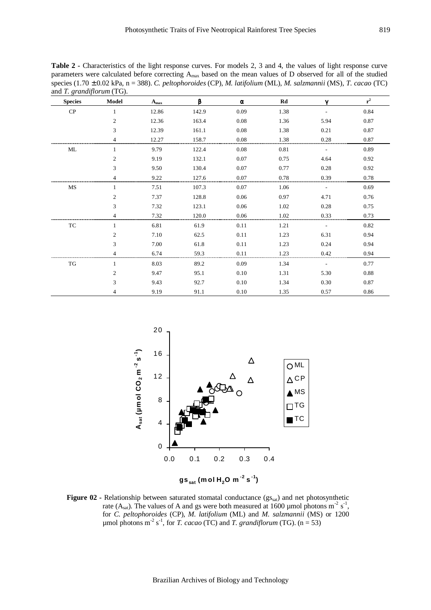**Table 2 -** Characteristics of the light response curves. For models 2, 3 and 4, the values of light response curve parameters were calculated before correcting Amax based on the mean values of D observed for all of the studied species (1.70 ± 0.02 kPa, n = 388). *C. peltophoroides* (CP), *M. latifolium* (ML), *M. salzmannii* (MS), *T. cacao* (TC) and *T. grandiflorum* (TG).

| <b>Species</b> | Model          | $A_{max}$ | B     | $\alpha$ | Rd   | $\mathbf v$ | $\mathbf{r}^2$ |
|----------------|----------------|-----------|-------|----------|------|-------------|----------------|
| ${\bf CP}$     | 1              | 12.86     | 142.9 | 0.09     | 1.38 |             | 0.84           |
|                | $\overline{c}$ | 12.36     | 163.4 | 0.08     | 1.36 | 5.94        | 0.87           |
|                | 3              | 12.39     | 161.1 | 0.08     | 1.38 | 0.21        | 0.87           |
|                | 4              | 12.27     | 158.7 | 0.08     | 1.38 | 0.28        | 0.87           |
| ML             |                | 9.79      | 122.4 | 0.08     | 0.81 |             | 0.89           |
|                | $\overline{c}$ | 9.19      | 132.1 | 0.07     | 0.75 | 4.64        | 0.92           |
|                | 3              | 9.50      | 130.4 | 0.07     | 0.77 | 0.28        | 0.92           |
|                | $\overline{4}$ | 9.22      | 127.6 | 0.07     | 0.78 | 0.39        | 0.78           |
| MS             | 1              | 7.51      | 107.3 | 0.07     | 1.06 |             | 0.69           |
|                | $\mathfrak{2}$ | 7.37      | 128.8 | 0.06     | 0.97 | 4.71        | 0.76           |
|                | 3              | 7.32      | 123.1 | 0.06     | 1.02 | 0.28        | 0.75           |
|                | 4              | 7.32      | 120.0 | 0.06     | 1.02 | 0.33        | 0.73           |
| TC             | $\mathbf{1}$   | 6.81      | 61.9  | 0.11     | 1.21 |             | 0.82           |
|                | 2              | 7.10      | 62.5  | 0.11     | 1.23 | 6.31        | 0.94           |
|                | 3              | 7.00      | 61.8  | 0.11     | 1.23 | 0.24        | 0.94           |
|                | 4              | 6.74      | 59.3  | 0.11     | 1.23 | 0.42        | 0.94           |
| TG             | $\mathbf{1}$   | 8.03      | 89.2  | 0.09     | 1.34 |             | 0.77           |
|                | $\overline{c}$ | 9.47      | 95.1  | 0.10     | 1.31 | 5.30        | 0.88           |
|                | 3              | 9.43      | 92.7  | 0.10     | 1.34 | 0.30        | 0.87           |
|                | 4              | 9.19      | 91.1  | 0.10     | 1.35 | 0.57        | 0.86           |



**Figure 02 -** Relationship between saturated stomatal conductance (gs<sub>sat</sub>) and net photosynthetic rate (A<sub>sat</sub>). The values of A and gs were both measured at 1600 µmol photons m<sup>-2</sup> s<sup>-1</sup>, for *C. peltophoroides* (CP), *M. latifolium* (ML) and *M. salzmannii* (MS) or 1200  $\mu$ mol photons m<sup>-2</sup> s<sup>-1</sup>, for *T. cacao* (TC) and *T. grandiflorum* (TG). (n = 53)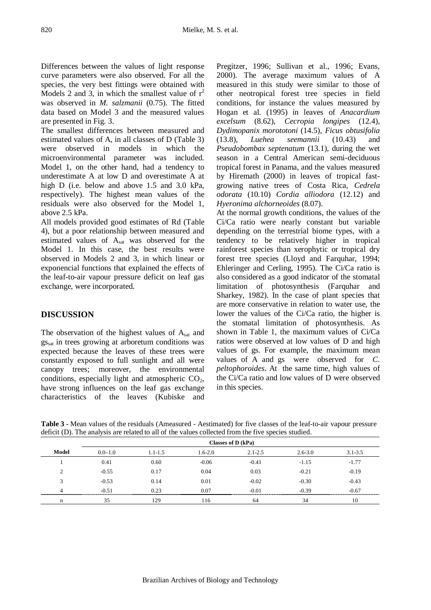Differences between the values of light response curve parameters were also observed. For all the species, the very best fittings were obtained with Models 2 and 3, in which the smallest value of  $r^2$ was observed in *M. salzmanii* (0.75). The fitted data based on Model 3 and the measured values are presented in Fig. 3.

The smallest differences between measured and estimated values of A, in all classes of D (Table 3) were observed in models in which the microenvironmental parameter was included. Model 1, on the other hand, had a tendency to underestimate A at low D and overestimate A at high D (i.e. below and above 1.5 and 3.0 kPa, respectively). The highest mean values of the residuals were also observed for the Model 1, above 2.5 kPa.

All models provided good estimates of Rd (Table 4), but a poor relationship between measured and estimated values of  $A<sub>sat</sub>$  was observed for the Model 1. In this case, the best results were observed in Models 2 and 3, in which linear or exponencial functions that explained the effects of the leaf-to-air vapour pressure deficit on leaf gas exchange, were incorporated.

## **DISCUSSION**

The observation of the highest values of  $A<sub>sat</sub>$  and gs<sub>sat</sub> in trees growing at arboretum conditions was expected because the leaves of these trees were constantly exposed to full sunlight and all were canopy trees; moreover, the environmental conditions, especially light and atmospheric  $CO<sub>2</sub>$ , have strong influences on the leaf gas exchange characteristics of the leaves (Kubiske and

Pregitzer, 1996; Sullivan et al., 1996; Evans, 2000). The average maximum values of A measured in this study were similar to those of other neotropical forest tree species in field conditions, for instance the values measured by Hogan et al. (1995) in leaves of *Anacardium excelsum* (8.62), *Cecropia longipes* (12.4), *Dydimopanix morototoni* (14.5), *Ficus obtusifolia* (13.8), *Luehea seemannii* (10.43) and *Pseudobombax septenatum* (13.1), during the wet season in a Central American semi-deciduous tropical forest in Panama, and the values measured by Hiremath (2000) in leaves of tropical fastgrowing native trees of Costa Rica, *Cedrela odorata* (10.10) *Cordia alliodora* (12.12) and *Hyeronima alchorneoides* (8.07).

At the normal growth conditions, the values of the Ci/Ca ratio were nearly constant but variable depending on the terrestrial biome types, with a tendency to be relatively higher in tropical rainforest species than xerophytic or tropical dry forest tree species (Lloyd and Farquhar, 1994; Ehleringer and Cerling, 1995). The Ci/Ca ratio is also considered as a good indicator of the stomatal limitation of photosynthesis (Farquhar and Sharkey, 1982). In the case of plant species that are more conservative in relation to water use, the lower the values of the Ci/Ca ratio, the higher is the stomatal limitation of photosynthesis. As shown in Table 1, the maximum values of Ci/Ca ratios were observed at low values of D and high values of gs. For example, the maximum mean values of A and gs were observed for *C. peltophoroides*. At the same time, high values of the Ci/Ca ratio and low values of D were observed in this species.

|            | Classes of D (kPa) |             |             |             |             |             |
|------------|--------------------|-------------|-------------|-------------|-------------|-------------|
| Model      | $0.0 - 1.0$        | $1.1 - 1.5$ | $1.6 - 2.0$ | $2.1 - 2.5$ | $2.6 - 3.0$ | $3.1 - 3.5$ |
|            | 0.41               | 0.60        | $-0.06$     | $-0.41$     | $-1.15$     | $-1.77$     |
| $\bigcirc$ | $-0.55$            | 0.17        | 0.04        | 0.03        | $-0.21$     | $-0.19$     |
| 3          | $-0.53$            | 0.14        | 0.01        | $-0.02$     | $-0.30$     | $-0.43$     |
|            | $-0.51$            | 0.23        | 0.07        | $-0.01$     | $-0.39$     | $-0.67$     |
| n          | 35                 | 129         | 116         | 64          | 34          | 10          |

**Table 3 -** Mean values of the residuals (Ameasured - Aestimated) for five classes of the leaf-to-air vapour pressure deficit (D). The analysis are related to all of the values collected from the five species studied.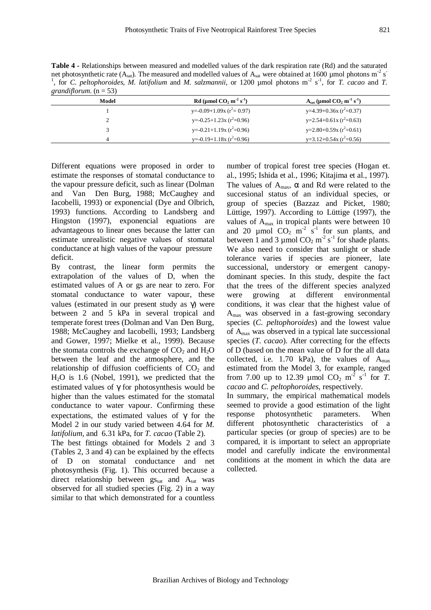821

**Table 4 -** Relationships between measured and modelled values of the dark respiration rate (Rd) and the saturated net photosynthetic rate (Assat). The measured and modelled values of Assat were obtained at 1600 µmol photons m<sup>-2</sup> s<sup>-</sup> <sup>1</sup>, for *C. peltophoroides*, *M. latifolium* and *M. salzmannii*, or 1200 µmol photons  $m^2 s^1$ , for *T. cacao* and *T. grandiflorum.*  $(n = 53)$ 

| Model | Rd (µmol $CO2$ m <sup>-2</sup> s <sup>-1</sup> ) | $Asat$ (µmol $CO2$ m <sup>-1</sup> s <sup>-1</sup> ) |
|-------|--------------------------------------------------|------------------------------------------------------|
|       | $y=-0.09+1.09x (r^2=0.97)$                       | $y=4.39+0.36x (r^2=0.37)$                            |
| ∍     | y=-0.25+1.23x ( $r^2$ =0.96)                     | $y=2.54+0.61x(r^2=0.63)$                             |
|       | y=-0.21+1.19x ( $r^2$ =0.96)                     | y=2.80+0.59x ( $r^2$ =0.61)                          |
| 4     | y=-0.19+1.18x ( $r^2$ =0.96)                     | $y=3.12+0.54x(r^2=0.56)$                             |

Different equations were proposed in order to estimate the responses of stomatal conductance to the vapour pressure deficit, such as linear (Dolman and Van Den Burg, 1988; McCaughey and Iacobelli, 1993) or exponencial (Dye and Olbrich, 1993) functions. According to Landsberg and Hingston (1997), exponencial equations are advantageous to linear ones because the latter can estimate unrealistic negative values of stomatal conductance at high values of the vapour pressure deficit.

By contrast, the linear form permits the extrapolation of the values of D, when the estimated values of A or gs are near to zero. For stomatal conductance to water vapour, these values (estimated in our present study as γ) were between 2 and 5 kPa in several tropical and temperate forest trees (Dolman and Van Den Burg, 1988; McCaughey and Iacobelli, 1993; Landsberg and Gower, 1997; Mielke et al., 1999). Because the stomata controls the exchange of  $CO<sub>2</sub>$  and  $H<sub>2</sub>O$ between the leaf and the atmosphere, and the relationship of diffusion coefficients of  $CO<sub>2</sub>$  and H2O is 1.6 (Nobel, 1991), we predicted that the estimated values of γ for photosynthesis would be higher than the values estimated for the stomatal conductance to water vapour. Confirming these expectations, the estimated values of  $\gamma$  for the Model 2 in our study varied between 4.64 for *M. latifolium*, and 6.31 kPa, for *T. cacao* (Table 2).

The best fittings obtained for Models 2 and 3 (Tables 2, 3 and 4) can be explained by the effects of D on stomatal conductance and net photosynthesis (Fig. 1). This occurred because a direct relationship between  $gs_{sat}$  and  $A_{sat}$  was observed for all studied species (Fig. 2) in a way similar to that which demonstrated for a countless

number of tropical forest tree species (Hogan et. al., 1995; Ishida et al., 1996; Kitajima et al., 1997). The values of  $A_{\text{max}}$ ,  $\alpha$  and Rd were related to the succesional status of an individual species, or group of species (Bazzaz and Picket, 1980; Lüttige, 1997). According to Lüttige (1997), the values of  $A_{\text{max}}$  in tropical plants were between 10 and 20  $\mu$ mol CO<sub>2</sub> m<sup>-2</sup> s<sup>-1</sup> for sun plants, and between 1 and 3 µmol  $CO_2$  m<sup>-2</sup> s<sup>-1</sup> for shade plants. We also need to consider that sunlight or shade tolerance varies if species are pioneer, late successional, understory or emergent canopydominant species. In this study, despite the fact that the trees of the different species analyzed were growing at different environmental conditions, it was clear that the highest value of  $A<sub>max</sub>$  was observed in a fast-growing secondary species (*C. peltophoroides*) and the lowest value of Amax was observed in a typical late successional species (*T. cacao*). After correcting for the effects of D (based on the mean value of D for the all data collected, i.e. 1.70 kPa), the values of  $A<sub>max</sub>$ estimated from the Model 3, for example, ranged from 7.00 up to 12.39  $\mu$ mol CO<sub>2</sub> m<sup>-2</sup> s<sup>-1</sup> for *T*. *cacao* and *C. peltophoroides*, respectively.

In summary, the empirical mathematical models seemed to provide a good estimation of the light response photosynthetic parameters. When different photosynthetic characteristics of a particular species (or group of species) are to be compared, it is important to select an appropriate model and carefully indicate the environmental conditions at the moment in which the data are collected.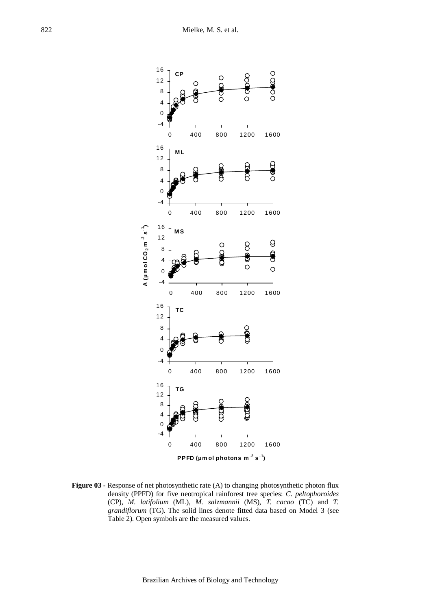

Figure 03 - Response of net photosynthetic rate (A) to changing photosynthetic photon flux density (PPFD) for five neotropical rainforest tree species: *C. peltophoroides* (CP), *M. latifolium* (ML), *M. salzmannii* (MS), *T. cacao* (TC) and *T. grandiflorum* (TG). The solid lines denote fitted data based on Model 3 (see Table 2). Open symbols are the measured values.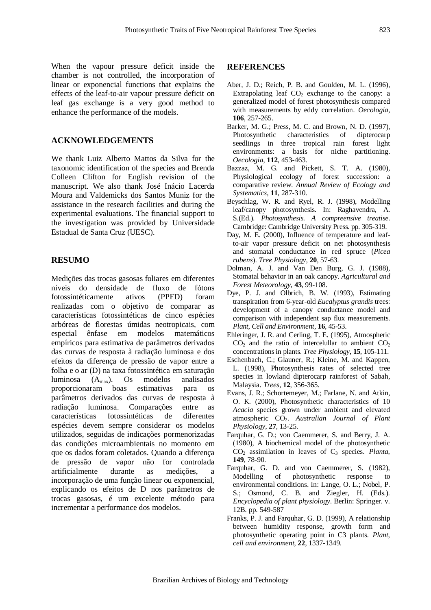When the vapour pressure deficit inside the chamber is not controlled, the incorporation of linear or exponencial functions that explains the effects of the leaf-to-air vapour pressure deficit on leaf gas exchange is a very good method to enhance the performance of the models.

#### **ACKNOWLEDGEMENTS**

We thank Luiz Alberto Mattos da Silva for the taxonomic identification of the species and Brenda Colleen Clifton for English revision of the manuscript. We also thank José Inácio Lacerda Moura and Valdemicks dos Santos Muniz for the assistance in the research facilities and during the experimental evaluations. The financial support to the investigation was provided by Universidade Estadual de Santa Cruz (UESC).

#### **RESUMO**

Medições das trocas gasosas foliares em diferentes níveis do densidade de fluxo de fótons fotossintéticamente ativos (PPFD) foram realizadas com o objetivo de comparar as características fotossintéticas de cinco espécies arbóreas de florestas úmidas neotropicais, com especial ênfase em modelos matemáticos empíricos para estimativa de parâmetros derivados das curvas de resposta à radiação luminosa e dos efeitos da diferença de pressão de vapor entre a folha e o ar (D) na taxa fotossintética em saturação luminosa  $(A_{max})$ . Os modelos analisados proporcionaram boas estimativas para os proporcionaram boas estimativas parâmetros derivados das curvas de resposta à radiação luminosa. Comparações entre as características fotossintéticas de diferentes espécies devem sempre considerar os modelos utilizados, seguidas de indicações pormenorizadas das condições microambientais no momento em que os dados foram coletados. Quando a diferença de pressão de vapor não for controlada artificialmente durante as medições, incorporação de uma função linear ou exponencial, explicando os efeitos de D nos parâmetros de trocas gasosas, é um excelente método para incrementar a performance dos modelos.

#### **REFERENCES**

- Aber, J. D.; Reich, P. B. and Goulden, M. L. (1996), Extrapolating leaf  $CO<sub>2</sub>$  exchange to the canopy: a generalized model of forest photosynthesis compared with measurements by eddy correlation. *Oecologia*, **106**, 257-265.
- Barker, M. G.; Press, M. C. and Brown, N. D. (1997), Photosynthetic characteristics of dipterocarp seedlings in three tropical rain forest light environments: a basis for niche partitioning. *Oecologia*, **112**, 453-463.
- Bazzaz, M. G. and Pickett, S. T. A. (1980), Physiological ecology of forest succession: a comparative review. *Annual Review of Ecology and Systematics*, **11**, 287-310.
- Beyschlag, W. R. and Ryel, R. J. (1998), Modelling leaf/canopy photosynthesis. In: Raghavendra, A. S.(Ed.). *Photosynthesis. A compreensive treatise*. Cambridge: Cambridge University Press. pp. 305-319.
- Day, M. E. (2000), Influence of temperature and leafto-air vapor pressure deficit on net photosynthesis and stomatal conductance in red spruce (*Picea rubens*). *Tree Physiology*, **20**, 57-63.
- Dolman, A. J. and Van Den Burg, G. J. (1988), Stomatal behavior in an oak canopy. *Agricultural and Forest Meteorology*, **43**, 99-108.
- Dye, P. J. and Olbrich, B. W. (1993), Estimating transpiration from 6-year-old *Eucalyptus grandis* trees: development of a canopy conductance model and comparison with independent sap flux measurements. *Plant*, *Cell and Environment*, **16**, 45-53.
- Ehleringer, J. R. and Cerling, T. E. (1995), Atmospheric  $CO<sub>2</sub>$  and the ratio of intercelullar to ambient  $CO<sub>2</sub>$ concentrations in plants. *Tree Physiology*, **15**, 105-111.
- Eschenbach, C.; Glauner, R.; Kleine, M. and Kappen, L. (1998), Photosynthesis rates of selected tree species in lowland dipterocarp rainforest of Sabah, Malaysia. *Trees*, **12**, 356-365.
- Evans, J. R.; Schortemeyer, M.; Farlane, N. and Atkin, O. K. (2000), Photosynthetic characteristics of 10 *Acacia* species grown under ambient and elevated atmospheric CO2. *Australian Journal of Plant Physiology*, **27**, 13-25.
- Farquhar, G. D.; von Caemmerer, S. and Berry, J. A. (1980), A biochemical model of the photosynthetic  $CO<sub>2</sub>$  assimilation in leaves of  $C<sub>3</sub>$  species. *Planta*, **149**, 78-90.
- Farquhar, G. D. and von Caemmerer, S. (1982), Modelling of photosynthetic response to environmental conditions. In: Lange, O. L.; Nobel, P. S.; Osmond, C. B. and Ziegler, H. (Eds.). *Encyclopedia of plant physiology*. Berlin: Springer. v. 12B. pp. 549-587
- Franks, P. J. and Farquhar, G. D. (1999), A relationship between humidity response, growth form and photosynthetic operating point in C3 plants. *Plant*, *cell and environment*, **22**, 1337-1349.